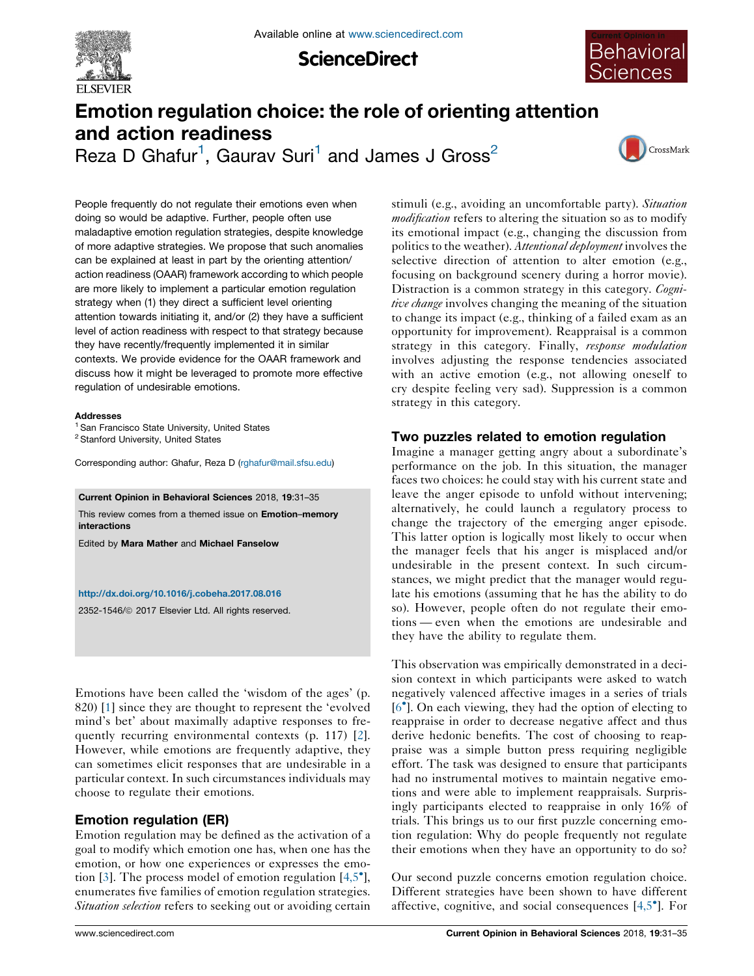

**ScienceDirect** 



# Emotion regulation choice: the role of orienting attention and action readiness

Reza D Ghafur<sup>1</sup>, Gaurav Suri<sup>1</sup> and James J Gross<sup>2</sup>



People frequently do not regulate their emotions even when doing so would be adaptive. Further, people often use maladaptive emotion regulation strategies, despite knowledge of more adaptive strategies. We propose that such anomalies can be explained at least in part by the orienting attention/ action readiness (OAAR) framework according to which people are more likely to implement a particular emotion regulation strategy when (1) they direct a sufficient level orienting attention towards initiating it, and/or (2) they have a sufficient level of action readiness with respect to that strategy because they have recently/frequently implemented it in similar contexts. We provide evidence for the OAAR framework and discuss how it might be leveraged to promote more effective regulation of undesirable emotions.

### Addresses

<sup>1</sup> San Francisco State University, United States

<sup>2</sup> Stanford University, United States

Corresponding author: Ghafur, Reza D ([rghafur@mail.sfsu.edu\)](mailto:rghafur@mail.sfsu.edu)

Current Opinion in Behavioral Sciences 2018, 19:31–35

This review comes from a themed issue on **Emotion–memory** interactions

Edited by Mara Mather and Michael Fanselow

#### <http://dx.doi.org/10.1016/j.cobeha.2017.08.016>

2352-1546/ã 2017 Elsevier Ltd. All rights reserved.

Emotions have been called the 'wisdom of the ages' (p. 820) [\[1](#page-3-0)] since they are thought to represent the 'evolved mind's bet' about maximally adaptive responses to frequently recurring environmental contexts (p. 117) [\[2](#page-3-0)]. However, while emotions are frequently adaptive, they can sometimes elicit responses that are undesirable in a particular context. In such circumstances individuals may choose to regulate their emotions.

# Emotion regulation (ER)

Emotion regulation may be defined as the activation of a goal to modify which emotion one has, when one has the emotion, or how one experiences or expresses the emotion [[3\]](#page-3-0). The process model of emotion regulation [\[4,5](#page-3-0) ], enumerates five families of emotion regulation strategies. Situation selection refers to seeking out or avoiding certain

stimuli (e.g., avoiding an uncomfortable party). Situation *modification* refers to altering the situation so as to modify its emotional impact (e.g., changing the discussion from politics to the weather). Attentional deployment involves the selective direction of attention to alter emotion (e.g., focusing on background scenery during a horror movie). Distraction is a common strategy in this category. Cognitive change involves changing the meaning of the situation to change its impact (e.g., thinking of a failed exam as an opportunity for improvement). Reappraisal is a common strategy in this category. Finally, response modulation involves adjusting the response tendencies associated with an active emotion (e.g., not allowing oneself to cry despite feeling very sad). Suppression is a common strategy in this category.

# Two puzzles related to emotion regulation

Imagine a manager getting angry about a subordinate's performance on the job. In this situation, the manager faces two choices: he could stay with his current state and leave the anger episode to unfold without intervening; alternatively, he could launch a regulatory process to change the trajectory of the emerging anger episode. This latter option is logically most likely to occur when the manager feels that his anger is misplaced and/or undesirable in the present context. In such circumstances, we might predict that the manager would regulate his emotions (assuming that he has the ability to do so). However, people often do not regulate their emotions — even when the emotions are undesirable and they have the ability to regulate them.

This observation was empirically demonstrated in a decision context in which participants were asked to watch negatively valenced affective images in a series of trials [6 ]. On each [viewing,](#page-3-0) they had the option of electing to reappraise in order to decrease negative affect and thus derive hedonic benefits. The cost of choosing to reappraise was a simple button press requiring negligible effort. The task was designed to ensure that participants had no instrumental motives to maintain negative emotions and were able to implement reappraisals. Surprisingly participants elected to reappraise in only 16% of trials. This brings us to our first puzzle concerning emotion regulation: Why do people frequently not regulate their emotions when they have an opportunity to do so?

Our second puzzle concerns emotion regulation choice. Different strategies have been shown to have different affective, cognitive, and social consequences [4,5 ]. [For](#page-3-0)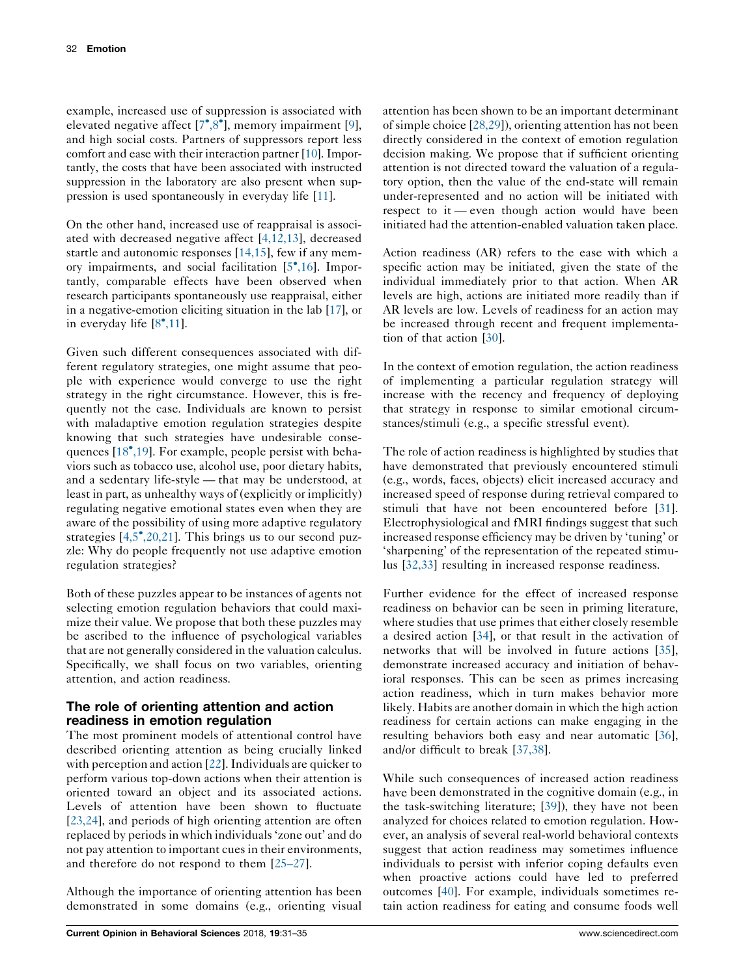example, increased use of suppression is associated with elevated negative affect [7 ,8 ], memory [impairment](#page-3-0) [\[9](#page-3-0)], and high social costs. Partners of suppressors report less comfort and ease with their interaction partner [\[10\]](#page-3-0). Importantly, the costs that have been associated with instructed suppression in the laboratory are also present when suppression is used spontaneously in everyday life [[11](#page-3-0)].

On the other hand, increased use of reappraisal is associated with decreased negative affect [[4,12,13\]](#page-3-0), decreased startle and autonomic responses [\[14,15\]](#page-3-0), few if any memory impairments, and social facilitation [5 [,16](#page-3-0)]. Importantly, comparable effects have been observed when research participants spontaneously use reappraisal, either in a negative-emotion eliciting situation in the lab [[17\]](#page-3-0), or in everyday life [8 [,11\]](#page-3-0).

Given such different consequences associated with different regulatory strategies, one might assume that people with experience would converge to use the right strategy in the right circumstance. However, this is frequently not the case. Individuals are known to persist with maladaptive emotion regulation strategies despite knowing that such strategies have undesirable conse-quences [18<sup>•</sup>[,19\]](#page-3-0). For example, people persist with behaviors such as tobacco use, alcohol use, poor dietary habits, and a sedentary life-style — that may be understood, at least in part, as unhealthy ways of (explicitly or implicitly) regulating negative emotional states even when they are aware of the possibility of using more adaptive regulatory strategies [4,5<sup>•</sup>[,20,21](#page-3-0)]. This brings us to our second puzzle: Why do people frequently not use adaptive emotion regulation strategies?

Both of these puzzles appear to be instances of agents not selecting emotion regulation behaviors that could maximize their value. We propose that both these puzzles may be ascribed to the influence of psychological variables that are not generally considered in the valuation calculus. Specifically, we shall focus on two variables, orienting attention, and action readiness.

# The role of orienting attention and action readiness in emotion regulation

The most prominent models of attentional control have described orienting attention as being crucially linked with perception and action  $[22]$  $[22]$ . Individuals are quicker to perform various top-down actions when their attention is oriented toward an object and its associated actions. Levels of attention have been shown to fluctuate [\[23,24\]](#page-4-0), and periods of high orienting attention are often replaced by periodsin which individuals 'zone out' and do not pay attention to important cues in their environments, and therefore do not respond to them [\[25–27](#page-4-0)].

Although the importance of orienting attention has been demonstrated in some domains (e.g., orienting visual attention has been shown to be an important determinant of simple choice [\[28,29\]](#page-4-0)), orienting attention has not been directly considered in the context of emotion regulation decision making. We propose that if sufficient orienting attention is not directed toward the valuation of a regulatory option, then the value of the end-state will remain under-represented and no action will be initiated with respect to it — even though action would have been initiated had the attention-enabled valuation taken place.

Action readiness (AR) refers to the ease with which a specific action may be initiated, given the state of the individual immediately prior to that action. When AR levels are high, actions are initiated more readily than if AR levels are low. Levels of readiness for an action may be increased through recent and frequent implementation of that action [[30\]](#page-4-0).

In the context of emotion regulation, the action readiness of implementing a particular regulation strategy will increase with the recency and frequency of deploying that strategy in response to similar emotional circumstances/stimuli (e.g., a specific stressful event).

The role of action readiness is highlighted by studies that have demonstrated that previously encountered stimuli (e.g., words, faces, objects) elicit increased accuracy and increased speed of response during retrieval compared to stimuli that have not been encountered before [[31](#page-4-0)]. Electrophysiological and fMRI findings suggest that such increased response efficiency may be driven by 'tuning' or 'sharpening' of the representation of the repeated stimulus [[32,33](#page-4-0)] resulting in increased response readiness.

Further evidence for the effect of increased response readiness on behavior can be seen in priming literature, where studies that use primes that either closely resemble a desired action [\[34](#page-4-0)], or that result in the activation of networks that will be involved in future actions [[35](#page-4-0)], demonstrate increased accuracy and initiation of behavioral responses. This can be seen as primes increasing action readiness, which in turn makes behavior more likely. Habits are another domain in which the high action readiness for certain actions can make engaging in the resulting behaviors both easy and near automatic [[36](#page-4-0)], and/or difficult to break [[37,38](#page-4-0)].

While such consequences of increased action readiness have been demonstrated in the cognitive domain (e.g., in the task-switching literature; [[39\]](#page-4-0)), they have not been analyzed for choices related to emotion regulation. However, an analysis of several real-world behavioral contexts suggest that action readiness may sometimes influence individuals to persist with inferior coping defaults even when proactive actions could have led to preferred outcomes [[40\]](#page-4-0). For example, individuals sometimes retain action readiness for eating and consume foods well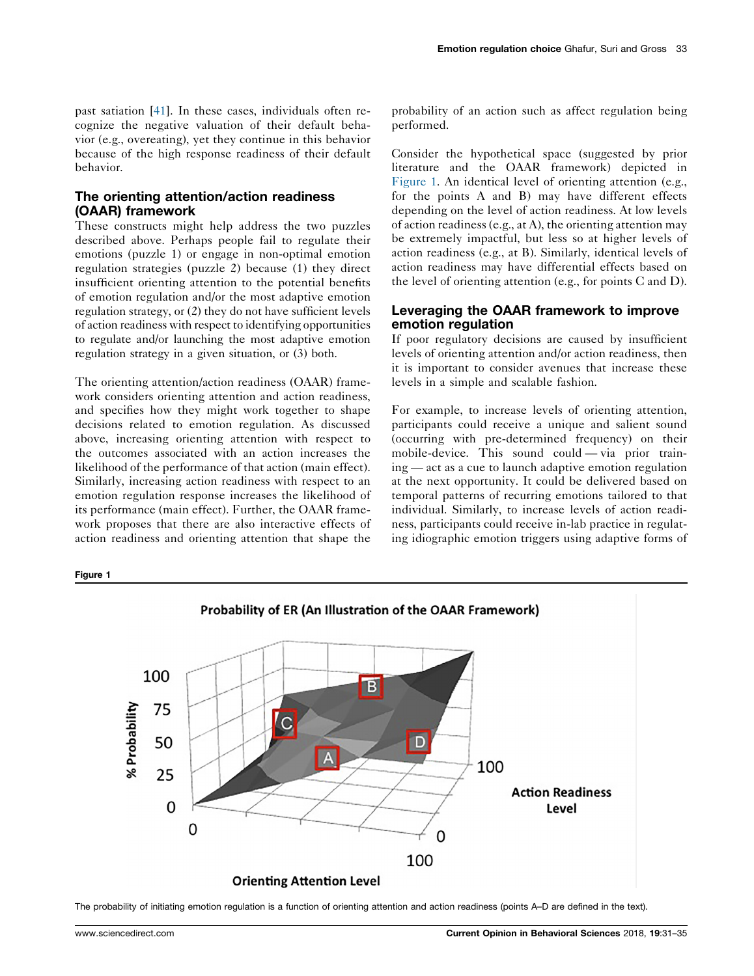past satiation [[41\]](#page-4-0). In these cases, individuals often recognize the negative valuation of their default behavior (e.g., overeating), yet they continue in this behavior because of the high response readiness of their default behavior.

# The orienting attention/action readiness (OAAR) framework

These constructs might help address the two puzzles described above. Perhaps people fail to regulate their emotions (puzzle 1) or engage in non-optimal emotion regulation strategies (puzzle 2) because (1) they direct insufficient orienting attention to the potential benefits of emotion regulation and/or the most adaptive emotion regulation strategy, or (2) they do not have sufficient levels of action readiness with respect to identifying opportunities to regulate and/or launching the most adaptive emotion regulation strategy in a given situation, or (3) both.

The orienting attention/action readiness (OAAR) framework considers orienting attention and action readiness, and specifies how they might work together to shape decisions related to emotion regulation. As discussed above, increasing orienting attention with respect to the outcomes associated with an action increases the likelihood of the performance of that action (main effect). Similarly, increasing action readiness with respect to an emotion regulation response increases the likelihood of its performance (main effect). Further, the OAAR framework proposes that there are also interactive effects of action readiness and orienting attention that shape the

Figure 1

probability of an action such as affect regulation being performed.

Consider the hypothetical space (suggested by prior literature and the OAAR framework) depicted in Figure 1. An identical level of orienting attention (e.g., for the points A and B) may have different effects depending on the level of action readiness. At low levels of action readiness (e.g., at A), the orienting attention may be extremely impactful, but less so at higher levels of action readiness (e.g., at B). Similarly, identical levels of action readiness may have differential effects based on the level of orienting attention (e.g., for points C and D).

## Leveraging the OAAR framework to improve emotion regulation

If poor regulatory decisions are caused by insufficient levels of orienting attention and/or action readiness, then it is important to consider avenues that increase these levels in a simple and scalable fashion.

For example, to increase levels of orienting attention, participants could receive a unique and salient sound (occurring with pre-determined frequency) on their mobile-device. This sound could — via prior training — act as a cue to launch adaptive emotion regulation at the next opportunity. It could be delivered based on temporal patterns of recurring emotions tailored to that individual. Similarly, to increase levels of action readiness, participants could receive in-lab practice in regulating idiographic emotion triggers using adaptive forms of



The probability of initiating emotion regulation is a function of orienting attention and action readiness (points A–D are defined in the text).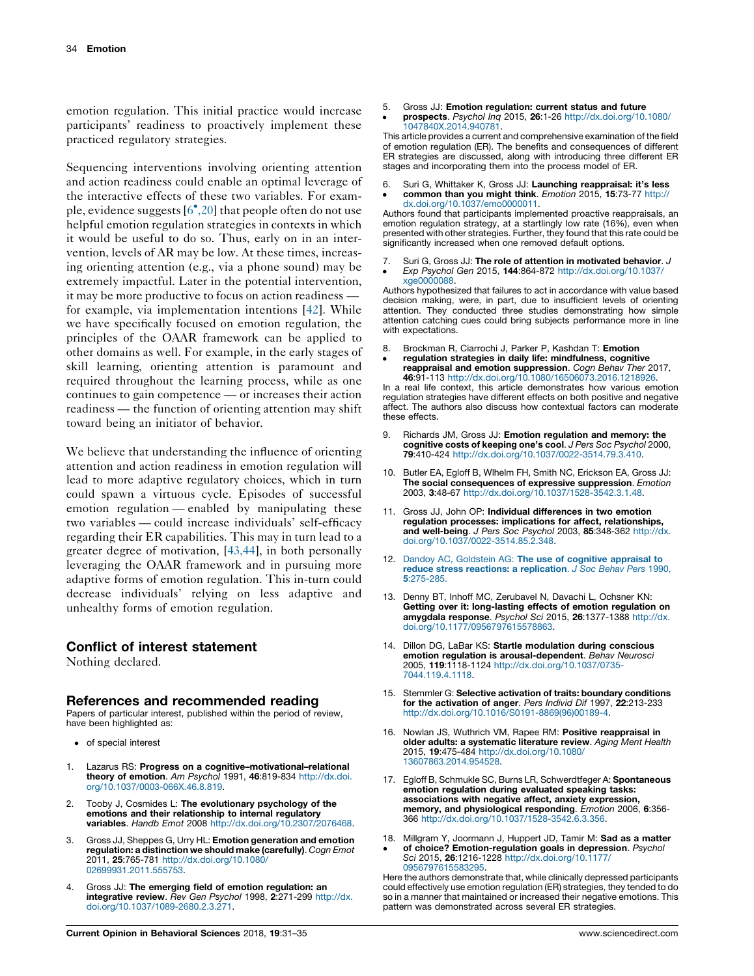<span id="page-3-0"></span>emotion regulation. This initial practice would increase participants' readiness to proactively implement these practiced regulatory strategies.

Sequencing interventions involving orienting attention and action readiness could enable an optimal leverage of the interactive effects of these two variables. For example, evidence suggests[6 ,20] that people often do not use helpful emotion regulation strategies in contexts in which it would be useful to do so. Thus, early on in an intervention, levels of AR may be low. At these times, increasing orienting attention (e.g., via a phone sound) may be extremely impactful. Later in the potential intervention, it may be more productive to focus on action readiness for example, via implementation intentions [[42\]](#page-4-0). While we have specifically focused on emotion regulation, the principles of the OAAR framework can be applied to other domains as well. For example, in the early stages of skill learning, orienting attention is paramount and required throughout the learning process, while as one continues to gain competence — or increases their action readiness — the function of orienting attention may shift toward being an initiator of behavior.

We believe that understanding the influence of orienting attention and action readiness in emotion regulation will lead to more adaptive regulatory choices, which in turn could spawn a virtuous cycle. Episodes of successful emotion regulation — enabled by manipulating these two variables — could increase individuals' self-efficacy regarding their ER capabilities. This may in turn lead to a greater degree of motivation, [[43,44](#page-4-0)], in both personally leveraging the OAAR framework and in pursuing more adaptive forms of emotion regulation. This in-turn could decrease individuals' relying on less adaptive and unhealthy forms of emotion regulation.

# Conflict of interest statement

Nothing declared.

## References and recommended reading

Papers of particular interest, published within the period of review, have been highlighted as:

- of special interest
- Lazarus RS: Progress on a cognitive-motivational-relational theory of emotion. Am Psychol 1991, 46:819-834 [http://dx.doi.](http://dx.doi.org/10.1037/0003-066X.46.8.819) [org/10.1037/0003-066X.46.8.819.](http://dx.doi.org/10.1037/0003-066X.46.8.819)
- 2. Tooby J, Cosmides L: The evolutionary psychology of the emotions and their relationship to internal regulatory variables. Handb Emot 2008 <http://dx.doi.org/10.2307/2076468>.
- 3. Gross JJ, Sheppes G, Urry HL: Emotion generation and emotion regulation: a distinction we should make (carefully). Cogn Emot 2011, 25:765-781 [http://dx.doi.org/10.1080/](http://dx.doi.org/10.1080/02699931.2011.555753) [02699931.2011.555753.](http://dx.doi.org/10.1080/02699931.2011.555753)
- 4. Gross JJ: The emerging field of emotion regulation: an integrative review. Rev Gen Psychol 1998, 2:271-299 [http://dx.](http://dx.doi.org/10.1037/1089-2680.2.3.271) [doi.org/10.1037/1089-2680.2.3.271.](http://dx.doi.org/10.1037/1089-2680.2.3.271)
- 5. Gross JJ: Emotion regulation: current status and future
- $\bullet$ prospects. Psychol Inq 2015, 26:1-26 [http://dx.doi.org/10.1080/](http://dx.doi.org/10.1080/1047840X.2014.940781) [1047840X.2014.940781.](http://dx.doi.org/10.1080/1047840X.2014.940781)

This article provides a current and comprehensive examination of the field of emotion regulation (ER). The benefits and consequences of different ER strategies are discussed, along with introducing three different ER stages and incorporating them into the process model of ER.

- 6. Suri G, Whittaker K, Gross JJ: Launching reappraisal: it's less common than you might think. Emotion 2015, 15:73-77 [http://](http://dx.doi.org/10.1037/emo0000011)
- $\bullet$ [dx.doi.org/10.1037/emo0000011.](http://dx.doi.org/10.1037/emo0000011)

Authors found that participants implemented proactive reappraisals, an emotion regulation strategy, at a startlingly low rate (16%), even when presented with other strategies. Further, they found that this rate could be significantly increased when one removed default options.

- 7. Suri G, Gross JJ: The role of attention in motivated behavior. J
- $\bullet$ Exp Psychol Gen 2015, 144:864-872 [http://dx.doi.org/10.1037/](http://dx.doi.org/10.1037/xge0000088) [xge0000088.](http://dx.doi.org/10.1037/xge0000088)

Authors hypothesized that failures to act in accordance with value based decision making, were, in part, due to insufficient levels of orienting attention. They conducted three studies demonstrating how simple attention catching cues could bring subjects performance more in line with expectations.

- 8. Brockman R, Ciarrochi J, Parker P, Kashdan T: Emotion
- $\bullet$ regulation strategies in daily life: mindfulness, cognitive reappraisal and emotion suppression. Cogn Behav Ther 2017, 46:91-113 [http://dx.doi.org/10.1080/16506073.2016.1218926.](http://dx.doi.org/10.1080/16506073.2016.1218926)

In a real life context, this article demonstrates how various emotion regulation strategies have different effects on both positive and negative affect. The authors also discuss how contextual factors can moderate these effects.

- Richards JM, Gross JJ: Emotion regulation and memory: the cognitive costs of keeping one's cool. J Pers Soc Psychol 2000, 79:410-424 <http://dx.doi.org/10.1037/0022-3514.79.3.410>.
- 10. Butler EA, Egloff B, Wlhelm FH, Smith NC, Erickson EA, Gross JJ: The social consequences of expressive suppression. Emotion 2003, 3:48-67 [http://dx.doi.org/10.1037/1528-3542.3.1.48.](http://dx.doi.org/10.1037/1528-3542.3.1.48)
- 11. Gross JJ, John OP: Individual differences in two emotion regulation processes: implications for affect, relationships, and well-being. J Pers Soc Psychol 2003, 85:348-362 [http://dx.](http://dx.doi.org/10.1037/0022-3514.85.2.348) [doi.org/10.1037/0022-3514.85.2.348.](http://dx.doi.org/10.1037/0022-3514.85.2.348)
- 12. Dandoy AC, Goldstein AG: The use of cognitive [appraisal](http://refhub.elsevier.com/S2352-1546(17)30072-4/sbref0280) to reduce stress reactions: a [replication](http://refhub.elsevier.com/S2352-1546(17)30072-4/sbref0280). J Soc Behav Pers 1990, 5[:275-285.](http://refhub.elsevier.com/S2352-1546(17)30072-4/sbref0280)
- 13. Denny BT, Inhoff MC, Zerubavel N, Davachi L, Ochsner KN: Getting over it: long-lasting effects of emotion regulation on amygdala response. Psychol Sci 2015, 26:1377-1388 [http://dx.](http://dx.doi.org/10.1177/0956797615578863) [doi.org/10.1177/0956797615578863](http://dx.doi.org/10.1177/0956797615578863).
- 14. Dillon DG, LaBar KS: Startle modulation during conscious emotion regulation is arousal-dependent. Behav Neurosci 2005, 119:1118-1124 [http://dx.doi.org/10.1037/0735-](http://dx.doi.org/10.1037/0735-7044.119.4.1118) [7044.119.4.1118](http://dx.doi.org/10.1037/0735-7044.119.4.1118).
- 15. Stemmler G: Selective activation of traits: boundary conditions for the activation of anger. Pers Individ Dif 1997, 22:213-233 [http://dx.doi.org/10.1016/S0191-8869\(96\)00189-4](http://dx.doi.org/10.1016/S0191-8869(96)00189-4).
- 16. Nowlan JS, Wuthrich VM, Rapee RM: Positive reappraisal in older adults: a systematic literature review. Aging Ment Health 2015, 19:475-484 [http://dx.doi.org/10.1080/](http://dx.doi.org/10.1080/13607863.2014.954528) [13607863.2014.954528](http://dx.doi.org/10.1080/13607863.2014.954528).
- 17. Egloff B, Schmukle SC, Burns LR, Schwerdtfeger A: Spontaneous emotion regulation during evaluated speaking tasks: associations with negative affect, anxiety expression, memory, and physiological responding. Emotion 2006, 6:356- 366 <http://dx.doi.org/10.1037/1528-3542.6.3.356>.
- 18. Millgram Y, Joormann J, Huppert JD, Tamir M: Sad as a matter  $\bullet$ of choice? Emotion-regulation goals in depression. Psychol Sci 2015, 26:1216-1228 [http://dx.doi.org/10.1177/](http://dx.doi.org/10.1177/0956797615583295) [0956797615583295.](http://dx.doi.org/10.1177/0956797615583295)

Here the authors demonstrate that, while clinically depressed participants could effectively use emotion regulation (ER) strategies, they tended to do so in a manner that maintained or increased their negative emotions. This pattern was demonstrated across several ER strategies.